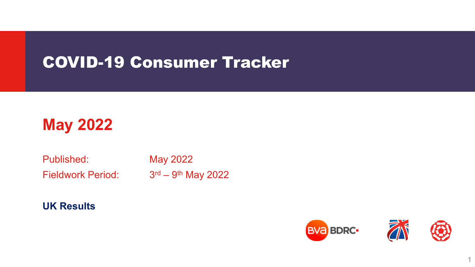# COVID-19 Consumer Tracker

# **May 2022**

Published: May 2022

Fieldwork Period:  $3<sup>rd</sup> - 9<sup>th</sup>$  May 2022

**UK Results**



1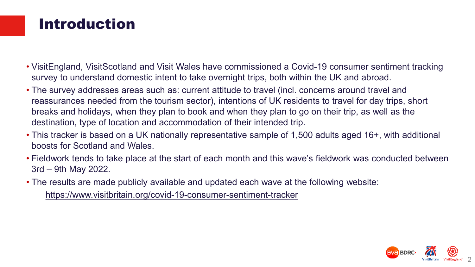#### Introduction

- VisitEngland, VisitScotland and Visit Wales have commissioned a Covid-19 consumer sentiment tracking survey to understand domestic intent to take overnight trips, both within the UK and abroad.
- The survey addresses areas such as: current attitude to travel (incl. concerns around travel and reassurances needed from the tourism sector), intentions of UK residents to travel for day trips, short breaks and holidays, when they plan to book and when they plan to go on their trip, as well as the destination, type of location and accommodation of their intended trip.
- This tracker is based on a UK nationally representative sample of 1,500 adults aged 16+, with additional boosts for Scotland and Wales.
- Fieldwork tends to take place at the start of each month and this wave's fieldwork was conducted between 3rd – 9th May 2022.
- The results are made publicly available and updated each wave at the following website:

https://www.visitbritain.org/covid-19-consumer-sentiment-tracker

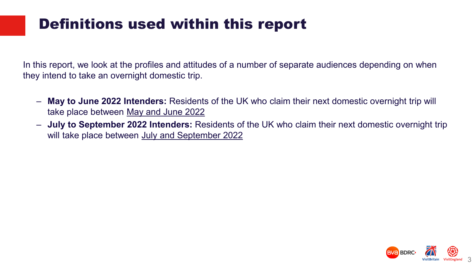# Definitions used within this report

In this report, we look at the profiles and attitudes of a number of separate audiences depending on when they intend to take an overnight domestic trip.

- **May to June 2022 Intenders:** Residents of the UK who claim their next domestic overnight trip will take place between May and June 2022
- **July to September 2022 Intenders:** Residents of the UK who claim their next domestic overnight trip will take place between July and September 2022

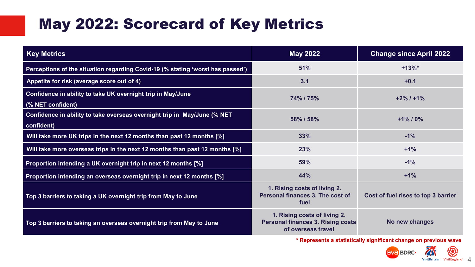# May 2022: Scorecard of Key Metrics

| <b>Key Metrics</b>                                                                     | <b>May 2022</b>                                                                                | <b>Change since April 2022</b>      |  |  |
|----------------------------------------------------------------------------------------|------------------------------------------------------------------------------------------------|-------------------------------------|--|--|
| Perceptions of the situation regarding Covid-19 (% stating 'worst has passed')         | 51%                                                                                            | $+13%$                              |  |  |
| Appetite for risk (average score out of 4)                                             | 3.1                                                                                            | $+0.1$                              |  |  |
| Confidence in ability to take UK overnight trip in May/June<br>(% NET confident)       | 74% / 75%                                                                                      | $+2\%$ / $+1\%$                     |  |  |
| Confidence in ability to take overseas overnight trip in May/June (% NET<br>confident) | 58% / 58%                                                                                      | $+1\%$ / 0%                         |  |  |
| Will take more UK trips in the next 12 months than past 12 months [%]                  | 33%                                                                                            | $-1%$                               |  |  |
| Will take more overseas trips in the next 12 months than past 12 months [%]            | 23%                                                                                            | $+1%$                               |  |  |
| Proportion intending a UK overnight trip in next 12 months [%]                         | 59%                                                                                            | $-1%$                               |  |  |
| Proportion intending an overseas overnight trip in next 12 months [%]                  | 44%                                                                                            | $+1%$                               |  |  |
| Top 3 barriers to taking a UK overnight trip from May to June                          | 1. Rising costs of living 2.<br>Personal finances 3. The cost of<br>fuel                       | Cost of fuel rises to top 3 barrier |  |  |
| Top 3 barriers to taking an overseas overnight trip from May to June                   | 1. Rising costs of living 2.<br><b>Personal finances 3. Rising costs</b><br>of overseas travel | No new changes                      |  |  |

**\* Represents a statistically significant change on previous wave**

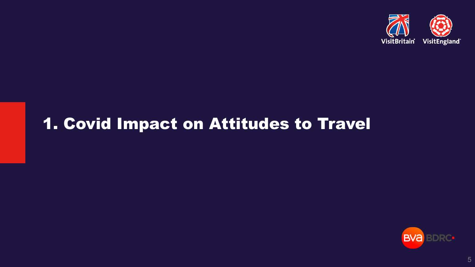

# 1. Covid Impact on Attitudes to Travel

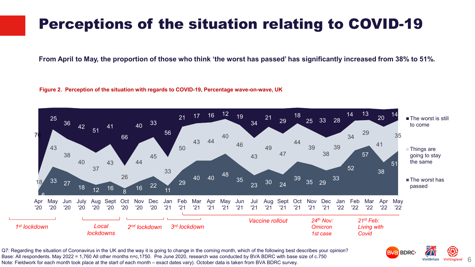### Perceptions of the situation relating to COVID-19

**From April to May, the proportion of those who think 'the worst has passed' has significantly increased from 38% to 51%.**

#### **Figure 2. Perception of the situation with regards to COVID-19, Percentage wave-on-wave, UK**



VisitEngland 6

VisitBritain

**BVa BDRC** 

Q7: Regarding the situation of Coronavirus in the UK and the way it is going to change in the coming month, which of the following best describes your opinion? Base: All respondents. May 2022 = 1,760 All other months n=c,1750. Pre June 2020, research was conducted by BVA BDRC with base size of c.750 Note: Fieldwork for each month took place at the start of each month – exact dates vary). October data is taken from BVA BDRC survey.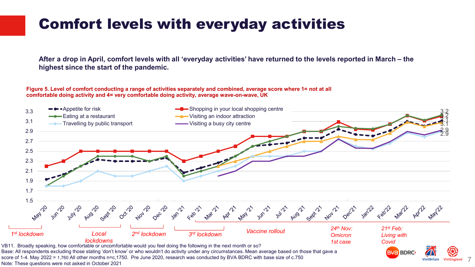## Comfort levels with everyday activities

**After a drop in April, comfort levels with all 'everyday activities' have returned to the levels reported in March – the highest since the start of the pandemic.**

#### **Figure 5. Level of comfort conducting a range of activities separately and combined, average score where 1= not at all comfortable doing activity and 4= very comfortable doing activity, average wave-on-wave, UK**



7

Base: All respondents excluding those stating 'don't know' or who wouldn't do activity under any circumstances. Mean average based on those that gave a score of 1-4. May 2022 = 1,760 All other months n=c,1750. Pre June 2020, research was conducted by BVA BDRC with base size of c.750 Note: These questions were not asked in October 2021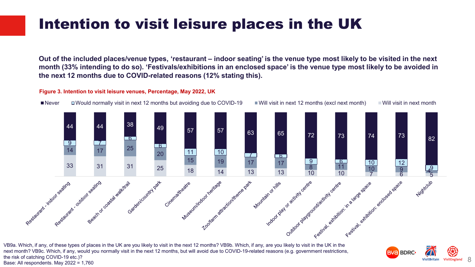### Intention to visit leisure places in the UK

**Out of the included places/venue types, 'restaurant – indoor seating' is the venue type most likely to be visited in the next month (33% intending to do so). 'Festivals/exhibitions in an enclosed space' is the venue type most likely to be avoided in the next 12 months due to COVID-related reasons (12% stating this).**

#### **Figure 3. Intention to visit leisure venues, Percentage, May 2022, UK**



VB9a. Which, if any, of these types of places in the UK are you likely to visit in the next 12 months? VB9b. Which, if any, are you likely to visit in the UK in the next month? VB9c. Which, if any, would you normally visit in the next 12 months, but will avoid due to COVID-19-related reasons (e.g. government restrictions, the risk of catching COVID-19 etc.)? Base: All respondents. May 2022 = 1,760

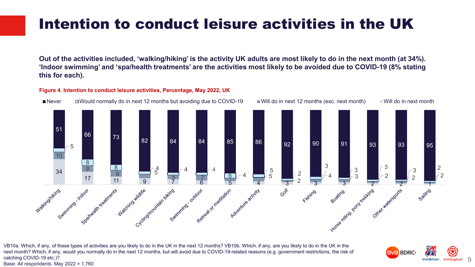### Intention to conduct leisure activities in the UK

**Out of the activities included, 'walking/hiking' is the activity UK adults are most likely to do in the next month (at 34%). 'Indoor swimming' and 'spa/health treatments' are the activities most likely to be avoided due to COVID-19 (8% stating this for each).** 

#### **Figure 4. Intention to conduct leisure activities, Percentage, May 2022, UK**



VisitEngland<sup>®</sup>

**BVa BDRC** 

VB10a. Which, if any, of these types of activities are you likely to do in the UK in the next 12 months? VB10b. Which, if any, are you likely to do in the UK in the next month? Which, if any, would you normally do in the next 12 months, but will avoid due to COVID-19-related reasons (e.g. government restrictions, the risk of catching COVID-19 etc.)?

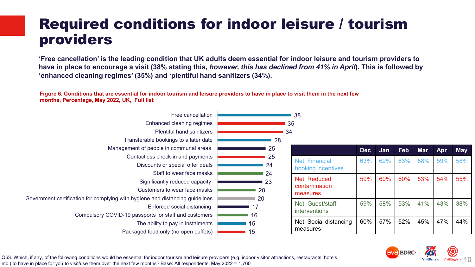#### Required conditions for indoor leisure / tourism providers

**'Free cancellation' is the leading condition that UK adults deem essential for indoor leisure and tourism providers to have in place to encourage a visit (38% stating this,** *however, this has declined from 41% in April***). This is followed by 'enhanced cleaning regimes' (35%) and 'plentiful hand sanitizers (34%).**

**Figure 6. Conditions that are essential for indoor tourism and leisure providers to have in place to visit them in the next few months, Percentage, May 2022, UK, Full list**

| Free cancellation                                                             | 38                              |            |     |     |            |     |            |  |
|-------------------------------------------------------------------------------|---------------------------------|------------|-----|-----|------------|-----|------------|--|
| Enhanced cleaning regimes                                                     | 35                              |            |     |     |            |     |            |  |
| <b>Plentiful hand sanitizers</b>                                              | 34                              |            |     |     |            |     |            |  |
| Transferable bookings to a later date                                         | 28                              |            |     |     |            |     |            |  |
| Management of people in communal areas                                        | 25                              | <b>Dec</b> | Jan | Feb | <b>Mar</b> | Apr | <b>May</b> |  |
| Contactless check-in and payments                                             | 25<br><b>Net: Financial</b>     | 63%        | 62% | 63% | 58%        | 59% | 58%        |  |
| Discounts or special offer deals                                              | 24<br>booking incentives        |            |     |     |            |     |            |  |
| Staff to wear face masks                                                      | 24                              |            |     |     |            |     |            |  |
| Significantly reduced capacity                                                | <b>Net: Reduced</b><br>23       | 59%        | 60% | 60% | 53%        | 54% | 55%        |  |
| Customers to wear face masks                                                  | contamination<br>20<br>measures |            |     |     |            |     |            |  |
| Government certification for complying with hygiene and distancing guidelines | 20                              |            |     |     |            |     |            |  |
| Enforced social distancing                                                    | Net: Guest/staff<br>17          | 59%        | 58% | 53% | 41%        | 43% | 38%        |  |
| Compulsory COVID-19 passports for staff and customers                         | <i>interventions</i><br>16      |            |     |     |            |     |            |  |
| The ability to pay in instalments                                             | Net: Social distancing<br>15    | 60%        | 57% | 52% | 45%        | 47% | 44%        |  |
| Packaged food only (no open buffets)                                          | measures<br>15                  |            |     |     |            |     |            |  |



Q63. Which, if any, of the following conditions would be essential for indoor tourism and leisure providers (e.g. indoor visitor attractions, restaurants, hotels etc.) to have in place for you to visit/use them over the next few months? Base: All respondents. May 2022 = 1,760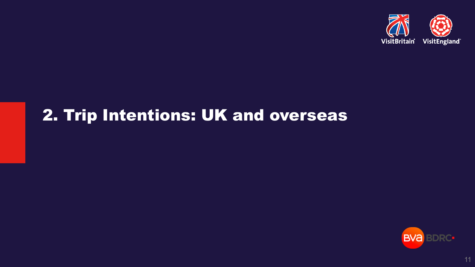

# 2. Trip Intentions: UK and overseas

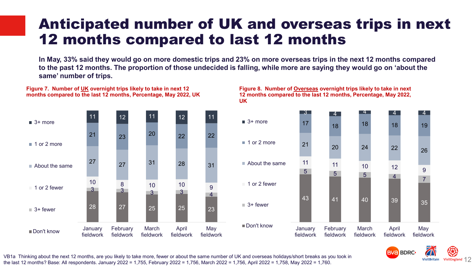#### Anticipated number of UK and overseas trips in next 12 months compared to last 12 months

**In May, 33% said they would go on more domestic trips and 23% on more overseas trips in the next 12 months compared to the past 12 months. The proportion of those undecided is falling, while more are saying they would go on 'about the same' number of trips.** 



**Figure 7. Number of UK overnight trips likely to take in next 12 months compared to the last 12 months, Percentage, May 2022, UK**

#### **Figure 8. Number of Overseas overnight trips likely to take in next 12 months compared to the last 12 months, Percentage, May 2022, UK**





VB1a Thinking about the next 12 months, are you likely to take more, fewer or about the same number of UK and overseas holidays/short breaks as you took in the last 12 months? Base: All respondents. January 2022 = 1,755, February 2022 = 1,756, March 2022 = 1,756, April 2022 = 1,758, May 2022 = 1,760.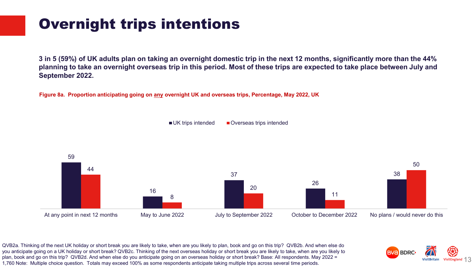### Overnight trips intentions

**3 in 5 (59%) of UK adults plan on taking an overnight domestic trip in the next 12 months, significantly more than the 44% planning to take an overnight overseas trip in this period. Most of these trips are expected to take place between July and September 2022.**

**Figure 8a. Proportion anticipating going on any overnight UK and overseas trips, Percentage, May 2022, UK**





QVB2a. Thinking of the next UK holiday or short break you are likely to take, when are you likely to plan, book and go on this trip? QVB2b. And when else do you anticipate going on a UK holiday or short break? QVB2c. Thinking of the next overseas holiday or short break you are likely to take, when are you likely to plan, book and go on this trip? QVB2d. And when else do you anticipate going on an overseas holiday or short break? Base: All respondents. May 2022 = 1,760 Note: Multiple choice question. Totals may exceed 100% as some respondents anticipate taking multiple trips across several time periods.

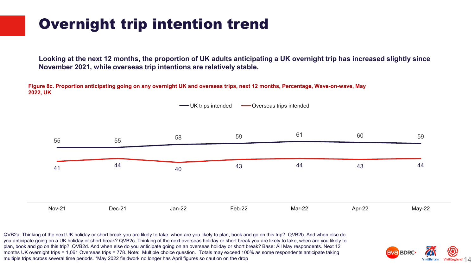### Overnight trip intention trend

**Looking at the next 12 months, the proportion of UK adults anticipating a UK overnight trip has increased slightly since November 2021, while overseas trip intentions are relatively stable.**

**Figure 8c. Proportion anticipating going on any overnight UK and overseas trips, next 12 months, Percentage, Wave-on-wave, May 2022, UK**



14

**BVA BDRC** 

QVB2a. Thinking of the next UK holiday or short break you are likely to take, when are you likely to plan, book and go on this trip? QVB2b. And when else do you anticipate going on a UK holiday or short break? QVB2c. Thinking of the next overseas holiday or short break you are likely to take, when are you likely to plan, book and go on this trip? QVB2d. And when else do you anticipate going on an overseas holiday or short break? Base: All May respondents. Next 12 months UK overnight trips = 1,061 Overseas trips = 778. Note: Multiple choice question. Totals may exceed 100% as some respondents anticipate taking multiple trips across several time periods. \*May 2022 fieldwork no longer has April figures so caution on the drop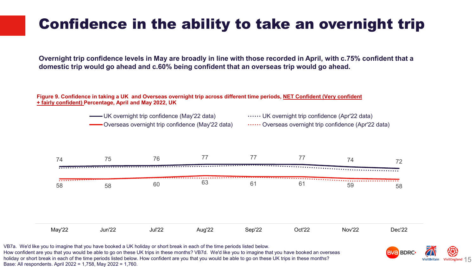# Confidence in the ability to take an overnight trip

**Overnight trip confidence levels in May are broadly in line with those recorded in April, with c.75% confident that a domestic trip would go ahead and c.60% being confident that an overseas trip would go ahead.** 

**Figure 9. Confidence in taking a UK and Overseas overnight trip across different time periods, NET Confident (Very confident + fairly confident) Percentage, April and May 2022, UK**

UK overnight trip confidence (May'22 data) **UK** overnight trip confidence (Apr'22 data)

Overseas overnight trip confidence (May'22 data) ....... Overseas overnight trip confidence (Apr'22 data)



VB7a. We'd like you to imagine that you have booked a UK holiday or short break in each of the time periods listed below. How confident are you that you would be able to go on these UK trips in these months? VB7d. We'd like you to imagine that you have booked an overseas holiday or short break in each of the time periods listed below. How confident are you that you would be able to go on these UK trips in these months? Base: All respondents. April 2022 = 1,758, May 2022 = 1,760.

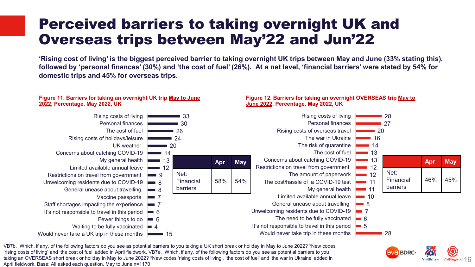#### Perceived barriers to taking overnight UK and Overseas trips between May'22 and Jun'22

**'Rising cost of living' is the biggest perceived barrier to taking overnight UK trips between May and June (33% stating this), followed by 'personal finances' (30%) and 'the cost of fuel' (26%). At a net level, 'financial barriers' were stated by 54% for domestic trips and 45% for overseas trips.**

#### 33 30 26 24 20  $\blacksquare$  14  $\blacksquare$  13  $\blacksquare$  12 9  $\blacksquare$  8  $\blacksquare$  8  $\blacksquare$  7 7 6 6 Fewer things to do Waiting to be fully vaccinated **=** 4 15 Would never take a UK trip in these months Rising costs of living Personal finances The cost of fuel Rising costs of holidays/leisure UK weather Concerns about catching COVID-19 My general health Limited available annual leave Restrictions on travel from government Unwelcoming residents due to COVID-19 General unease about travelling Vaccine passports Staff shortages impacting the experience It's not responsible to travel in this period **Figure 11. Barriers for taking an overnight UK trip May to June 2022, Percentage, May 2022, UK 28** 27  $\blacksquare$  20  $\blacksquare$  16  $\blacksquare$  14  $\blacksquare$  13  $\blacksquare$  13  $\blacksquare$  12  $\blacksquare$  12 11  $\blacksquare$  11  $\blacksquare$  10  $\blacksquare$  8  $\blacksquare$  7 The need to be fully vaccinated **6** 5 It's not responsible to travel in this period 28 Rising costs of living Personal finances Rising costs of overseas travel The war in Ukraine The risk of quarantine The cost of fuel Concerns about catching COVID-19 Restrictions on travel from government The amount of paperwork The cost/hassle of a COVID-19 test My general health Limited available annual leave General unease about travelling Unwelcoming residents due to COVID-19 Would never take trip in these months **Figure 12. Barriers for taking an overnight OVERSEAS trip May to June 2022, Percentage, May 2022, UK Apr May** Net: Financial barriers 58% 54% **Apr May** Net: Financial barriers 46% 45%

16

**BVA BDRC** 

VB7b. Which, if any, of the following factors do you see as potential barriers to you taking a UK short break or holiday in May to June 2022? \*New codes 'rising costs of living' and 'the cost of fuel' added in April fieldwork. VB7e. Which, if any, of the following factors do you see as potential barriers to you taking an OVERSEAS short break or holiday in May to June 2022? \*New codes 'rising costs of living', 'the cost of fuel' and 'the war in Ukraine' added in April fieldwork. Base: All asked each question. May to June n=1170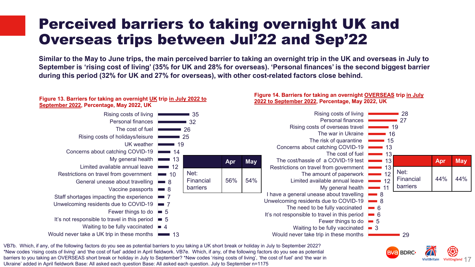#### Perceived barriers to taking overnight UK and Overseas trips between Jul'22 and Sep'22

**Similar to the May to June trips, the main perceived barrier to taking an overnight trip in the UK and overseas in July to September is 'rising cost of living' (35% for UK and 28% for overseas). 'Personal finances' is the second biggest barrier during this period (32% for UK and 27% for overseas), with other cost-related factors close behind.** 



VisitEngland  $\uparrow$  /

**BVa BDRC** 

VB7b. Which, if any, of the following factors do you see as potential barriers to you taking a UK short break or holiday in July to September 2022? \*New codes 'rising costs of living' and 'the cost of fuel' added in April fieldwork. VB7e. Which, if any, of the following factors do you see as potential barriers to you taking an OVERSEAS short break or holiday in July to September? \*New codes 'rising costs of living', 'the cost of fuel' and 'the war in Ukraine' added in April fieldwork Base: All asked each question Base: All asked each question. July to September n=1175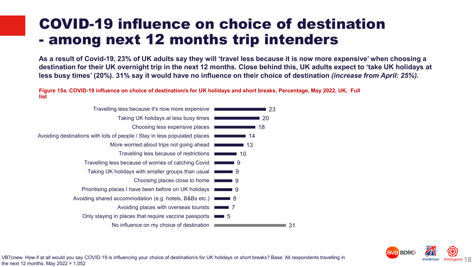#### COVID-19 influence on choice of destination - among next 12 months trip intenders

**As a result of Covid-19, 23% of UK adults say they will 'travel less because it is now more expensive' when choosing a destination for their UK overnight trip in the next 12 months. Close behind this, UK adults expect to 'take UK holidays at less busy times' (20%). 31% say it would have no influence on their choice of destination** *(increase from April: 25%).*

**Figure 15a. COVID-19 influence on choice of destination/s for UK holidays and short breaks, Percentage, May 2022, UK, Full list**



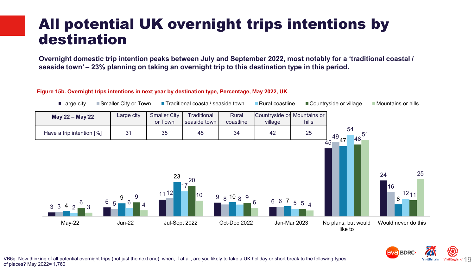#### All potential UK overnight trips intentions by destination

**Overnight domestic trip intention peaks between July and September 2022, most notably for a 'traditional coastal / seaside town' – 23% planning on taking an overnight trip to this destination type in this period.**

#### **Figure 15b. Overnight trips intentions in next year by destination type, Percentage, May 2022, UK**



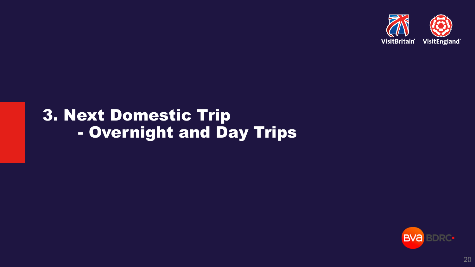

# 3. Next Domestic Trip - Overnight and Day Trips



20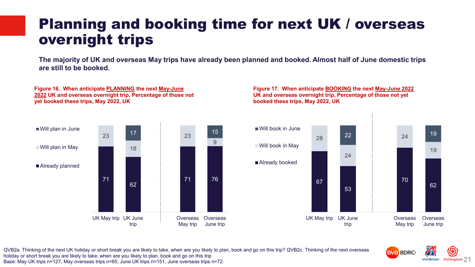#### Planning and booking time for next UK / overseas overnight trips

**The majority of UK and overseas May trips have already been planned and booked. Almost half of June domestic trips are still to be booked.**



**Figure 16. When anticipate PLANNING the next May-June 2022 UK and overseas overnight trip, Percentage of those not** 

**yet booked these trips, May 2022, UK**

**Figure 17. When anticipate BOOKING the next May-June 2022 UK and overseas overnight trip, Percentage of those not yet booked these trips, May 2022, UK**



QVB2a. Thinking of the next UK holiday or short break you are likely to take, when are you likely to plan, book and go on this trip? QVB2c. Thinking of the next overseas holiday or short break you are likely to take, when are you likely to plan, book and go on this trip Base: May UK trips n=127, May overseas trips n=65; June UK trips n=151, June overseas trips n=72.

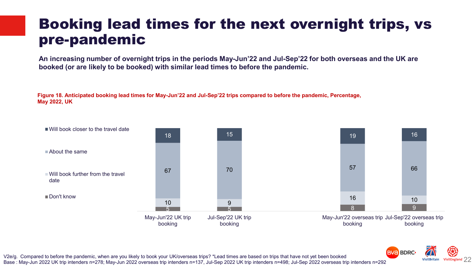#### Booking lead times for the next overnight trips, vs pre-pandemic

**An increasing number of overnight trips in the periods May-Jun'22 and Jul-Sep'22 for both overseas and the UK are booked (or are likely to be booked) with similar lead times to before the pandemic.**

**Figure 18. Anticipated booking lead times for May-Jun'22 and Jul-Sep'22 trips compared to before the pandemic, Percentage, May 2022, UK** 





V2e/g. Compared to before the pandemic, when are you likely to book your UK/overseas trips? \*Lead times are based on trips that have not yet been booked Base : May-Jun 2022 UK trip intenders n=278; May-Jun 2022 overseas trip intenders n=137, Jul-Sep 2022 UK trip intenders n=498; Jul-Sep 2022 overseas trip intenders n=292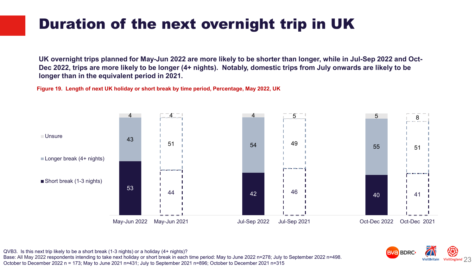# Duration of the next overnight trip in UK

**UK overnight trips planned for May-Jun 2022 are more likely to be shorter than longer, while in Jul-Sep 2022 and Oct-Dec 2022, trips are more likely to be longer (4+ nights). Notably, domestic trips from July onwards are likely to be longer than in the equivalent period in 2021.**

**Figure 19. Length of next UK holiday or short break by time period, Percentage, May 2022, UK**





QVB3. Is this next trip likely to be a short break (1-3 nights) or a holiday (4+ nights)?

Base: All May 2022 respondents intending to take next holiday or short break in each time period: May to June 2022 n=278; July to September 2022 n=498. October to December 2022 n = 173; May to June 2021 n=431; July to September 2021 n=896; October to December 2021 n=315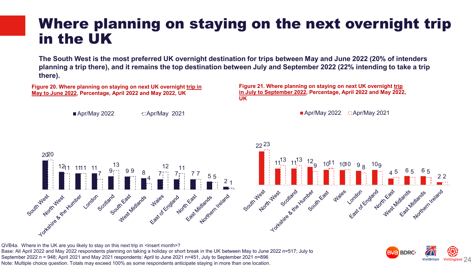#### Where planning on staying on the next overnight trip in the UK

**The South West is the most preferred UK overnight destination for trips between May and June 2022 (20% of intenders planning a trip there), and it remains the top destination between July and September 2022 (22% intending to take a trip there).**

**Figure 20. Where planning on staying on next UK overnight trip in May to June 2022, Percentage, April 2022 and May 2022, UK**

 $\blacksquare$  Apr/May 2022  $\blacksquare$ : Apr/May 2021

**Figure 21. Where planning on staying on next UK overnight trip in July to September 2022, Percentage, April 2022 and May 2022, UK**

 $\blacksquare$  Apr/May 2022  $\blacksquare$ : Apr/May 2021



QVB4a. Where in the UK are you likely to stay on this next trip in <insert month>? Base: All April 2022 and May 2022 respondents planning on taking a holiday or short break in the UK between May to June 2022 n=517; July to September 2022 n = 948; April 2021 and May 2021 respondents: April to June 2021 n=451, July to September 2021 n=896 Note: Multiple choice question. Totals may exceed 100% as some respondents anticipate staying in more than one location.

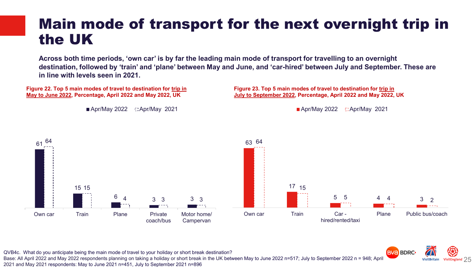#### Main mode of transport for the next overnight trip in the UK

**Across both time periods, 'own car' is by far the leading main mode of transport for travelling to an overnight destination, followed by 'train' and 'plane' between May and June, and 'car-hired' between July and September. These are in line with levels seen in 2021.** 

**Figure 22. Top 5 main modes of travel to destination for trip in May to June 2022, Percentage, April 2022 and May 2022, UK**

■ Apr/May 2022 **C: Apr/May 2021** 

**Figure 23. Top 5 main modes of travel to destination for trip in July to September 2022, Percentage, April 2022 and May 2022, UK**

Apr/May 2022  $\Box$  Apr/May 2021





QVB4c. What do you anticipate being the main mode of travel to your holiday or short break destination?

Base: All April 2022 and May 2022 respondents planning on taking a holiday or short break in the UK between May to June 2022 n=517; July to September 2022 n = 948; April 2021 and May 2021 respondents: May to June 2021 n=451, July to September 2021 n=896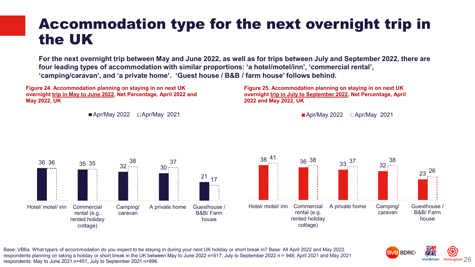#### Accommodation type for the next overnight trip in the UK

**For the next overnight trip between May and June 2022, as well as for trips between July and September 2022, there are four leading types of accommodation with similar proportions: 'a hotel/motel/inn', 'commercial rental', 'camping/caravan', and 'a private home'. 'Guest house / B&B / farm house' follows behind.**

**Figure 24. Accommodation planning on staying in on next UK overnight trip in May to June 2022, Net Percentage, April 2022 and May 2022, UK**

 $\blacksquare$  Apr/May 2022  $\blacksquare$ : Apr/May 2021

**Figure 25. Accommodation planning on staying in on next UK overnight trip in July to September 2022, Net Percentage, April 2022 and May 2022, UK**

Apr/May 2022  $\Box$ Apr/May 2021



Base: VB6a. What type/s of accommodation do you expect to be staying in during your next UK holiday or short break in? Base: All April 2022 and May 2022 respondents planning on taking a holiday or short break in the UK between May to June 2022 n=517; July to September 2022 n = 948; April 2021 and May 2021 respondents: May to June 2021 n=451, July to September 2021 n=896

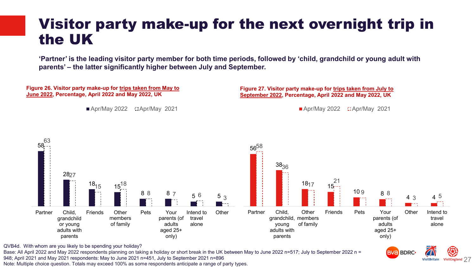#### Visitor party make-up for the next overnight trip in the UK

**'Partner' is the leading visitor party member for both time periods, followed by 'child, grandchild or young adult with parents' – the latter significantly higher between July and September.**

**Figure 26. Visitor party make-up for trips taken from May to June 2022, Percentage, April 2022 and May 2022, UK**

 $\blacksquare$  Apr/May 2022  $\blacksquare$ : Apr/May 2021

**Figure 27. Visitor party make-up for trips taken from July to September 2022, Percentage, April 2022 and May 2022, UK**

 $\blacksquare$  Apr/May 2022  $\blacksquare$ : Apr/May 2021

VisitEngland  $27$ 

**VisitBritain** 

**BVa BDRC** 



QVB4d. With whom are you likely to be spending your holiday?

Base: All April 2022 and May 2022 respondents planning on taking a holiday or short break in the UK between May to June 2022 n=517; July to September 2022 n = 948; April 2021 and May 2021 respondents: May to June 2021 n=451, July to September 2021 n=896

Note: Multiple choice question. Totals may exceed 100% as some respondents anticipate a range of party types.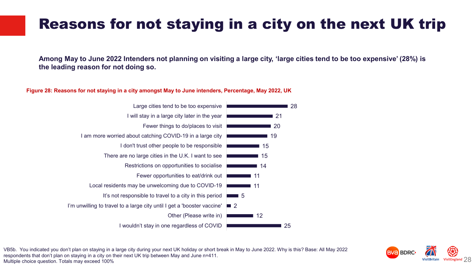## Reasons for not staying in a city on the next UK trip

**Among May to June 2022 Intenders not planning on visiting a large city, 'large cities tend to be too expensive' (28%) is the leading reason for not doing so.** 

#### **Figure 28: Reasons for not staying in a city amongst May to June intenders, Percentage, May 2022, UK**





VB5b. You indicated you don't plan on staying in a large city during your next UK holiday or short break in May to June 2022. Why is this? Base: All May 2022 respondents that don't plan on staying in a city on their next UK trip between May and June n=411. Multiple choice question. Totals may exceed 100%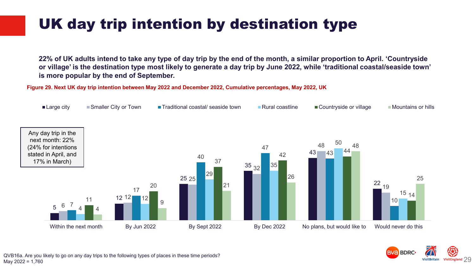# UK day trip intention by destination type

**22% of UK adults intend to take any type of day trip by the end of the month, a similar proportion to April. 'Countryside or village' is the destination type most likely to generate a day trip by June 2022, while 'traditional coastal/seaside town' is more popular by the end of September.** 

**Figure 29. Next UK day trip intention between May 2022 and December 2022, Cumulative percentages, May 2022, UK**





QVB16a. Are you likely to go on any day trips to the following types of places in these time periods? May 2022 = 1,760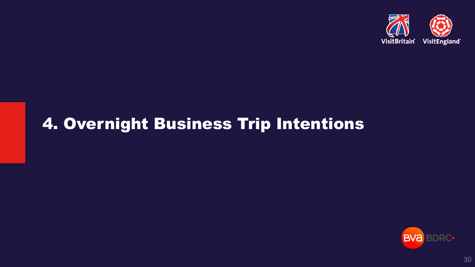

# 4. Overnight Business Trip Intentions

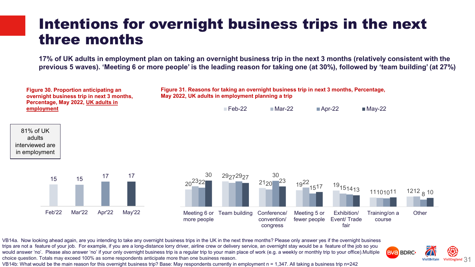#### Intentions for overnight business trips in the next three months

**17% of UK adults in employment plan on taking an overnight business trip in the next 3 months (relatively consistent with the previous 5 waves). 'Meeting 6 or more people' is the leading reason for taking one (at 30%), followed by 'team building' (at 27%)**



VB14a. Now looking ahead again, are you intending to take any overnight business trips in the UK in the next three months? Please only answer yes if the overnight business trips are not a feature of your job. For example, if you are a long-distance lorry driver, airline crew or delivery service, an overnight stay would be a feature of the job so you would answer 'no'. Please also answer 'no' if your only overnight business trip is a regular trip to your main place of work (e.g. a weekly or monthly trip to your office).Multiple choice question. Totals may exceed 100% as some respondents anticipate more than one business reason. VB14b: What would be the main reason for this overnight business trip? Base: May respondents currently in employment n = 1,347. All taking a business trip n=242

**BVA BDRC-VisitBritain** VisitEngland 3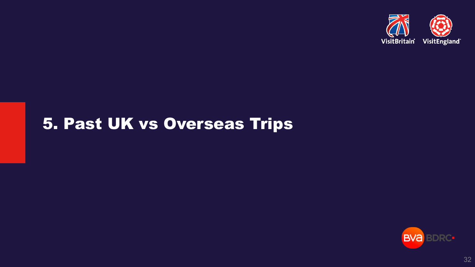

# 5. Past UK vs Overseas Trips



32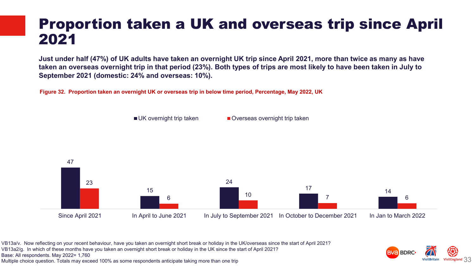#### Proportion taken a UK and overseas trip since April 2021

**Just under half (47%) of UK adults have taken an overnight UK trip since April 2021, more than twice as many as have taken an overseas overnight trip in that period (23%). Both types of trips are most likely to have been taken in July to September 2021 (domestic: 24% and overseas: 10%).** 

**Figure 32. Proportion taken an overnight UK or overseas trip in below time period, Percentage, May 2022, UK**

■ UK overnight trip taken ■ Overseas overnight trip taken



VB13a/v. Now reflecting on your recent behaviour, have you taken an overnight short break or holiday in the UK/overseas since the start of April 2021?

VB13a2/g. In which of these months have you taken an overnight short break or holiday in the UK since the start of April 2021?

Base: All respondents. May 2022= 1,760

Multiple choice question. Totals may exceed 100% as some respondents anticipate taking more than one trip

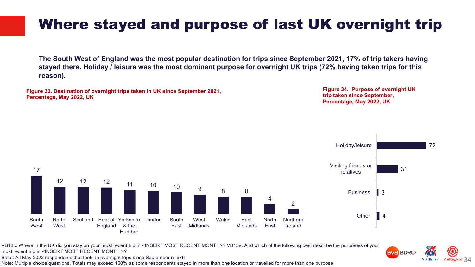# Where stayed and purpose of last UK overnight trip

**The South West of England was the most popular destination for trips since September 2021, 17% of trip takers having stayed there. Holiday / leisure was the most dominant purpose for overnight UK trips (72% having taken trips for this reason).** 

**Figure 33. Destination of overnight trips taken in UK since September 2021, Percentage, May 2022, UK**

**Figure 34. Purpose of overnight UK trip taken since September, Percentage, May 2022, UK**

**BVa BDRC** 

34



VB13c. Where in the UK did you stay on your most recent trip in <INSERT MOST RECENT MONTH>? VB13e. And which of the following best describe the purpose/s of your most recent trip in <INSERT MOST RECENT MONTH >?

Base: All May 2022 respondents that took an overnight trips since September n=676

Note: Multiple choice questions. Totals may exceed 100% as some respondents stayed in more than one location or travelled for more than one purpose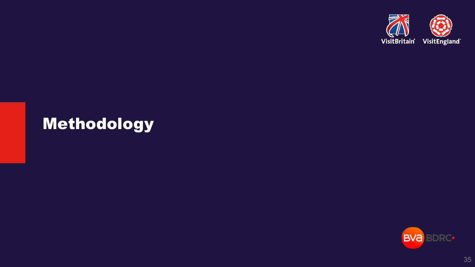

# Methodology



35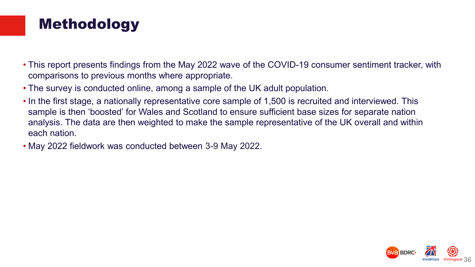#### Methodology

- This report presents findings from the May 2022 wave of the COVID-19 consumer sentiment tracker, with comparisons to previous months where appropriate.
- The survey is conducted online, among a sample of the UK adult population.
- In the first stage, a nationally representative core sample of 1,500 is recruited and interviewed. This sample is then 'boosted' for Wales and Scotland to ensure sufficient base sizes for separate nation analysis. The data are then weighted to make the sample representative of the UK overall and within each nation.
- May 2022 fieldwork was conducted between 3-9 May 2022.